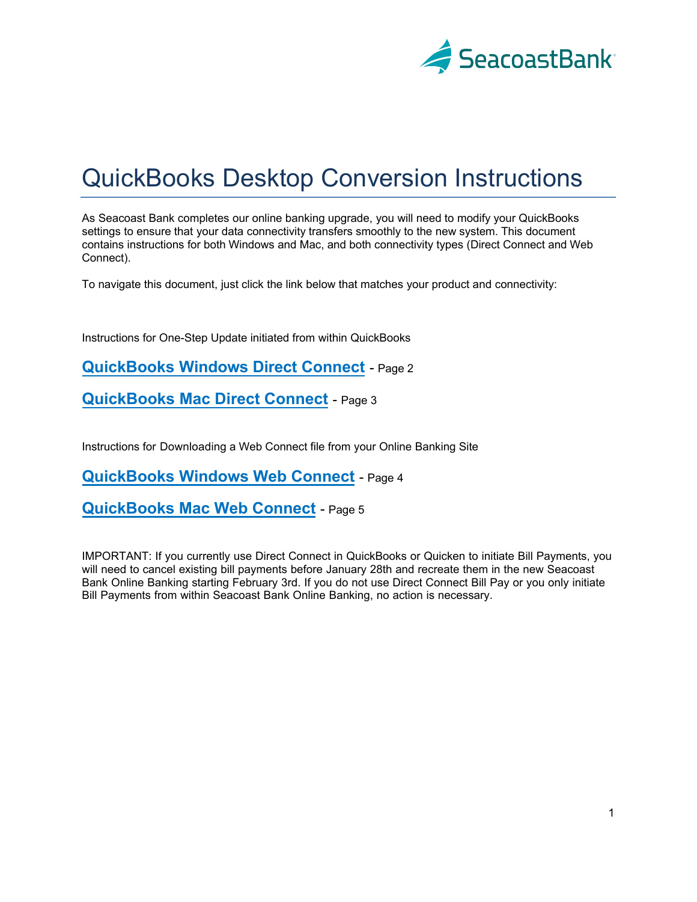

# QuickBooks Desktop Conversion Instructions

As Seacoast Bank completes our online banking upgrade, you will need to modify your QuickBooks settings to ensure that your data connectivity transfers smoothly to the new system. This document contains instructions for both Windows and Mac, and both connectivity types (Direct Connect and Web Connect).

To navigate this document, just click the link below that matches your product and connectivity:

Instructions for One-Step Update initiated from within QuickBooks

**QuickBooks [Windows Direct](#page-1-0) Connect** - Page 2

**[QuickBooks](#page-2-0) Mac Direct Connect** - Page 3

Instructions for Downloading a Web Connect file from your Online Banking Site

**[QuickBooks Windows Web Connect](#page-3-0)** - Page 4

**QuickBooks Mac [Web Connect](#page-4-0)** - Page 5

IMPORTANT: If you currently use Direct Connect in QuickBooks or Quicken to initiate Bill Payments, you will need to cancel existing bill payments before January 28th and recreate them in the new Seacoast Bank Online Banking starting February 3rd. If you do not use Direct Connect Bill Pay or you only initiate Bill Payments from within Seacoast Bank Online Banking, no action is necessary.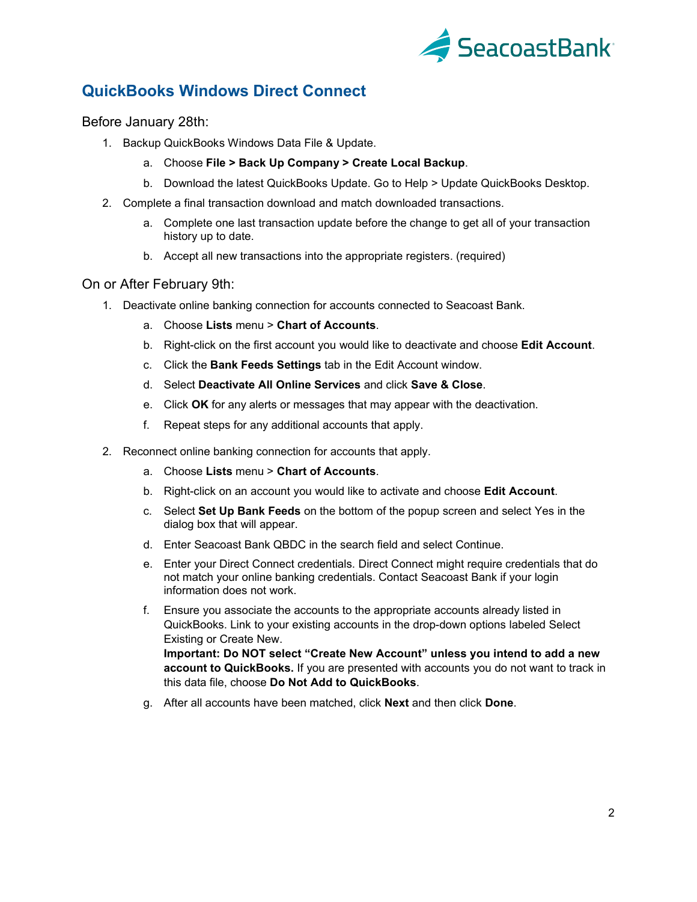

# <span id="page-1-0"></span>**QuickBooks Windows Direct Connect**

Before January 28th:

- 1. Backup QuickBooks Windows Data File & Update.
	- a. Choose **File > Back Up Company > Create Local Backup**.
	- b. Download the latest QuickBooks Update. Go to Help > Update QuickBooks Desktop.
- 2. Complete a final transaction download and match downloaded transactions.
	- a. Complete one last transaction update before the change to get all of your transaction history up to date.
	- b. Accept all new transactions into the appropriate registers. (required)

## On or After February 9th:

- 1. Deactivate online banking connection for accounts connected to Seacoast Bank.
	- a. Choose **Lists** menu > **Chart of Accounts**.
	- b. Right-click on the first account you would like to deactivate and choose **Edit Account**.
	- c. Click the **Bank Feeds Settings** tab in the Edit Account window.
	- d. Select **Deactivate All Online Services** and click **Save & Close**.
	- e. Click **OK** for any alerts or messages that may appear with the deactivation.
	- f. Repeat steps for any additional accounts that apply.
- 2. Reconnect online banking connection for accounts that apply.
	- a. Choose **Lists** menu > **Chart of Accounts**.
	- b. Right-click on an account you would like to activate and choose **Edit Account**.
	- c. Select **Set Up Bank Feeds** on the bottom of the popup screen and select Yes in the dialog box that will appear.
	- d. Enter Seacoast Bank QBDC in the search field and select Continue.
	- e. Enter your Direct Connect credentials. Direct Connect might require credentials that do not match your online banking credentials. Contact Seacoast Bank if your login information does not work.
	- f. Ensure you associate the accounts to the appropriate accounts already listed in QuickBooks. Link to your existing accounts in the drop-down options labeled Select Existing or Create New. **Important: Do NOT select "Create New Account" unless you intend to add a new**

**account to QuickBooks.** If you are presented with accounts you do not want to track in this data file, choose **Do Not Add to QuickBooks**.

g. After all accounts have been matched, click **Next** and then click **Done**.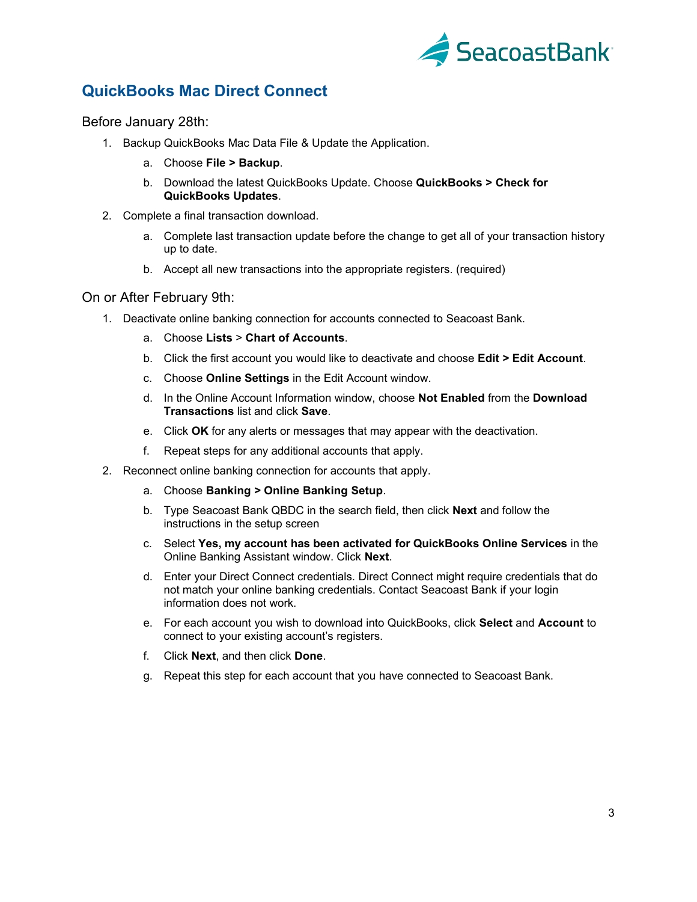

# <span id="page-2-0"></span>**QuickBooks Mac Direct Connect**

Before January 28th:

- 1. Backup QuickBooks Mac Data File & Update the Application.
	- a. Choose **File > Backup**.
	- b. Download the latest QuickBooks Update. Choose **QuickBooks > Check for QuickBooks Updates**.
- 2. Complete a final transaction download.
	- a. Complete last transaction update before the change to get all of your transaction history up to date.
	- b. Accept all new transactions into the appropriate registers. (required)

#### On or After February 9th:

- 1. Deactivate online banking connection for accounts connected to Seacoast Bank.
	- a. Choose **Lists** > **Chart of Accounts**.
	- b. Click the first account you would like to deactivate and choose **Edit > Edit Account**.
	- c. Choose **Online Settings** in the Edit Account window.
	- d. In the Online Account Information window, choose **Not Enabled** from the **Download Transactions** list and click **Save**.
	- e. Click **OK** for any alerts or messages that may appear with the deactivation.
	- f. Repeat steps for any additional accounts that apply.
- 2. Reconnect online banking connection for accounts that apply.
	- a. Choose **Banking > Online Banking Setup**.
	- b. Type Seacoast Bank QBDC in the search field, then click **Next** and follow the instructions in the setup screen
	- c. Select **Yes, my account has been activated for QuickBooks Online Services** in the Online Banking Assistant window. Click **Next**.
	- d. Enter your Direct Connect credentials. Direct Connect might require credentials that do not match your online banking credentials. Contact Seacoast Bank if your login information does not work.
	- e. For each account you wish to download into QuickBooks, click **Select** and **Account** to connect to your existing account's registers.
	- f. Click **Next**, and then click **Done**.
	- g. Repeat this step for each account that you have connected to Seacoast Bank.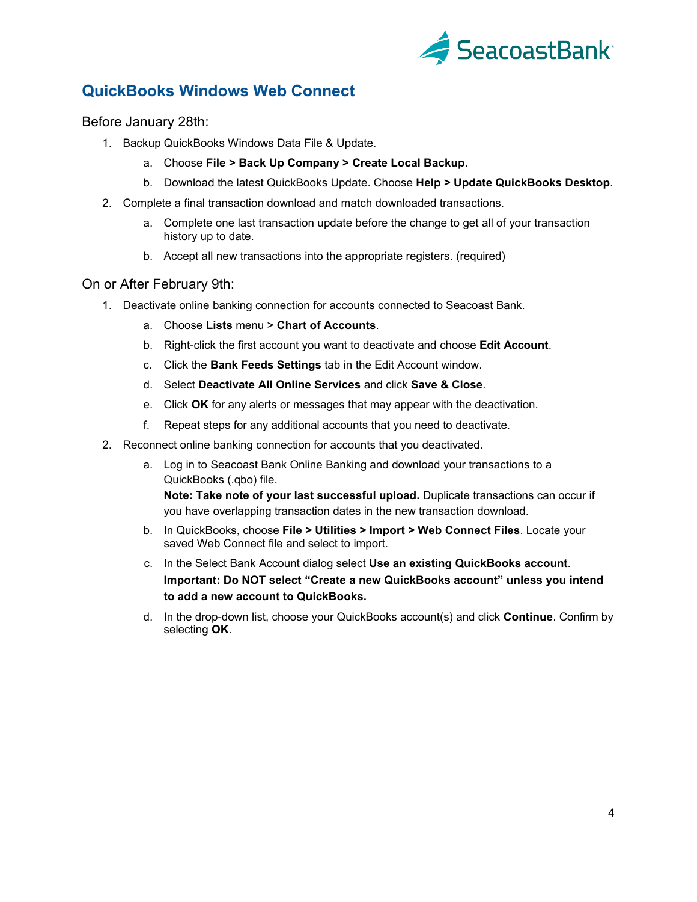

# <span id="page-3-0"></span>**QuickBooks Windows Web Connect**

Before January 28th:

- 1. Backup QuickBooks Windows Data File & Update.
	- a. Choose **File > Back Up Company > Create Local Backup**.
	- b. Download the latest QuickBooks Update. Choose **Help > Update QuickBooks Desktop**.
- 2. Complete a final transaction download and match downloaded transactions.
	- a. Complete one last transaction update before the change to get all of your transaction history up to date.
	- b. Accept all new transactions into the appropriate registers. (required)

## On or After February 9th:

- 1. Deactivate online banking connection for accounts connected to Seacoast Bank.
	- a. Choose **Lists** menu > **Chart of Accounts**.
	- b. Right-click the first account you want to deactivate and choose **Edit Account**.
	- c. Click the **Bank Feeds Settings** tab in the Edit Account window.
	- d. Select **Deactivate All Online Services** and click **Save & Close**.
	- e. Click **OK** for any alerts or messages that may appear with the deactivation.
	- f. Repeat steps for any additional accounts that you need to deactivate.
- 2. Reconnect online banking connection for accounts that you deactivated.
	- a. Log in to Seacoast Bank Online Banking and download your transactions to a QuickBooks (.qbo) file.

**Note: Take note of your last successful upload.** Duplicate transactions can occur if you have overlapping transaction dates in the new transaction download.

- b. In QuickBooks, choose **File > Utilities > Import > Web Connect Files**. Locate your saved Web Connect file and select to import.
- c. In the Select Bank Account dialog select **Use an existing QuickBooks account**. **Important: Do NOT select "Create a new QuickBooks account" unless you intend to add a new account to QuickBooks.**
- d. In the drop-down list, choose your QuickBooks account(s) and click **Continue**. Confirm by selecting **OK**.